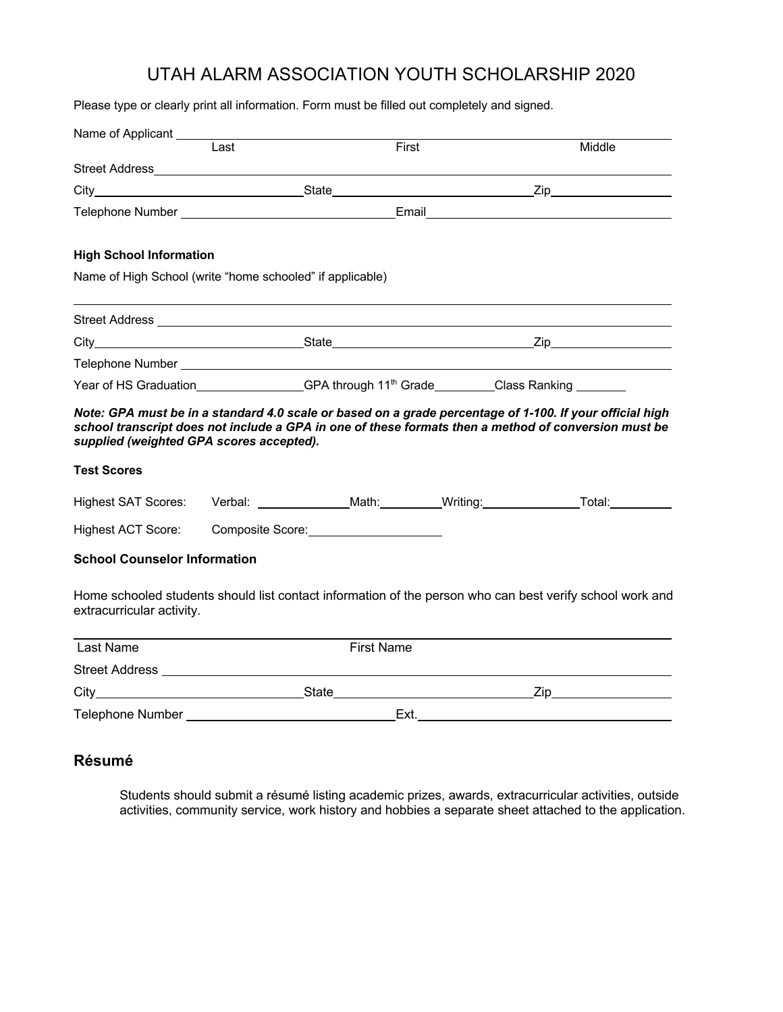## UTAH ALARM ASSOCIATION YOUTH SCHOLARSHIP 2020

Please type or clearly print all information. Form must be filled out completely and signed.

| Name of Applicant                                              |                   |  |       |                                                                                                                                                                                                                                |  |
|----------------------------------------------------------------|-------------------|--|-------|--------------------------------------------------------------------------------------------------------------------------------------------------------------------------------------------------------------------------------|--|
|                                                                | Last              |  | First | Middle                                                                                                                                                                                                                         |  |
|                                                                |                   |  |       |                                                                                                                                                                                                                                |  |
|                                                                |                   |  |       |                                                                                                                                                                                                                                |  |
|                                                                |                   |  |       |                                                                                                                                                                                                                                |  |
| <b>High School Information</b>                                 |                   |  |       |                                                                                                                                                                                                                                |  |
| Name of High School (write "home schooled" if applicable)      |                   |  |       |                                                                                                                                                                                                                                |  |
|                                                                |                   |  |       |                                                                                                                                                                                                                                |  |
|                                                                |                   |  |       |                                                                                                                                                                                                                                |  |
|                                                                |                   |  |       |                                                                                                                                                                                                                                |  |
|                                                                |                   |  |       | Year of HS Graduation Same Class Ranking Same Class Ranking Same Class Ranking Same Class Ranking Year of HS Graduation Same Class Ranking Same Class Ranking Same Class Ranking Same Class Ranking Same Class Ranking Same Cl |  |
| supplied (weighted GPA scores accepted).<br><b>Test Scores</b> |                   |  |       | school transcript does not include a GPA in one of these formats then a method of conversion must be                                                                                                                           |  |
|                                                                |                   |  |       | Highest SAT Scores: Verbal: ______________Math:_________Writing:_______________Total:______________                                                                                                                            |  |
| Highest ACT Score:                                             |                   |  |       |                                                                                                                                                                                                                                |  |
| <b>School Counselor Information</b>                            |                   |  |       |                                                                                                                                                                                                                                |  |
| extracurricular activity.                                      |                   |  |       | Home schooled students should list contact information of the person who can best verify school work and                                                                                                                       |  |
| <b>Last Name</b>                                               | <b>First Name</b> |  |       |                                                                                                                                                                                                                                |  |
|                                                                |                   |  |       |                                                                                                                                                                                                                                |  |
| City State State                                               |                   |  |       |                                                                                                                                                                                                                                |  |
|                                                                |                   |  | Ext.  |                                                                                                                                                                                                                                |  |

### **Résumé**

Students should submit a résumé listing academic prizes, awards, extracurricular activities, outside activities, community service, work history and hobbies a separate sheet attached to the application.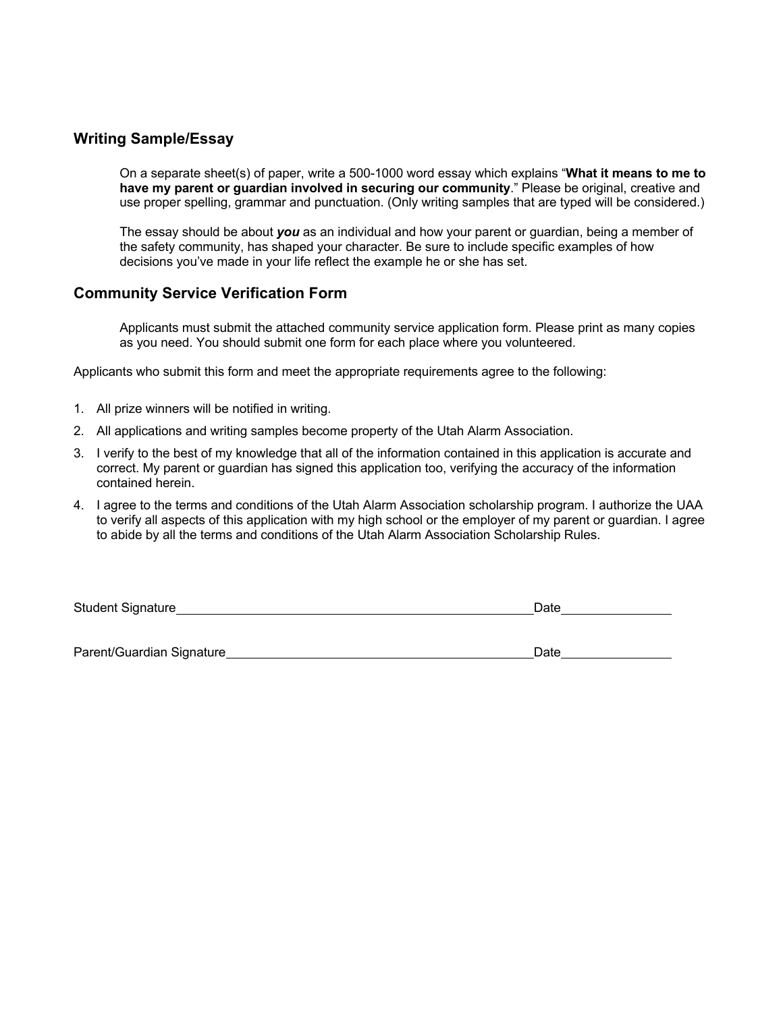#### **Writing Sample/Essay**

On a separate sheet(s) of paper, write a 500-1000 word essay which explains "**What it means to me to have my parent or guardian involved in securing our community**." Please be original, creative and use proper spelling, grammar and punctuation. (Only writing samples that are typed will be considered.)

The essay should be about *you* as an individual and how your parent or guardian, being a member of the safety community, has shaped your character. Be sure to include specific examples of how decisions you've made in your life reflect the example he or she has set.

#### **Community Service Verification Form**

Applicants must submit the attached community service application form. Please print as many copies as you need. You should submit one form for each place where you volunteered.

Applicants who submit this form and meet the appropriate requirements agree to the following:

- 1. All prize winners will be notified in writing.
- 2. All applications and writing samples become property of the Utah Alarm Association.
- 3. I verify to the best of my knowledge that all of the information contained in this application is accurate and correct. My parent or guardian has signed this application too, verifying the accuracy of the information contained herein.
- 4. I agree to the terms and conditions of the Utah Alarm Association scholarship program. I authorize the UAA to verify all aspects of this application with my high school or the employer of my parent or guardian. I agree to abide by all the terms and conditions of the Utah Alarm Association Scholarship Rules.

| <b>Student Signature</b>  | Date |  |  |
|---------------------------|------|--|--|
|                           |      |  |  |
|                           |      |  |  |
| Parent/Guardian Signature | Date |  |  |